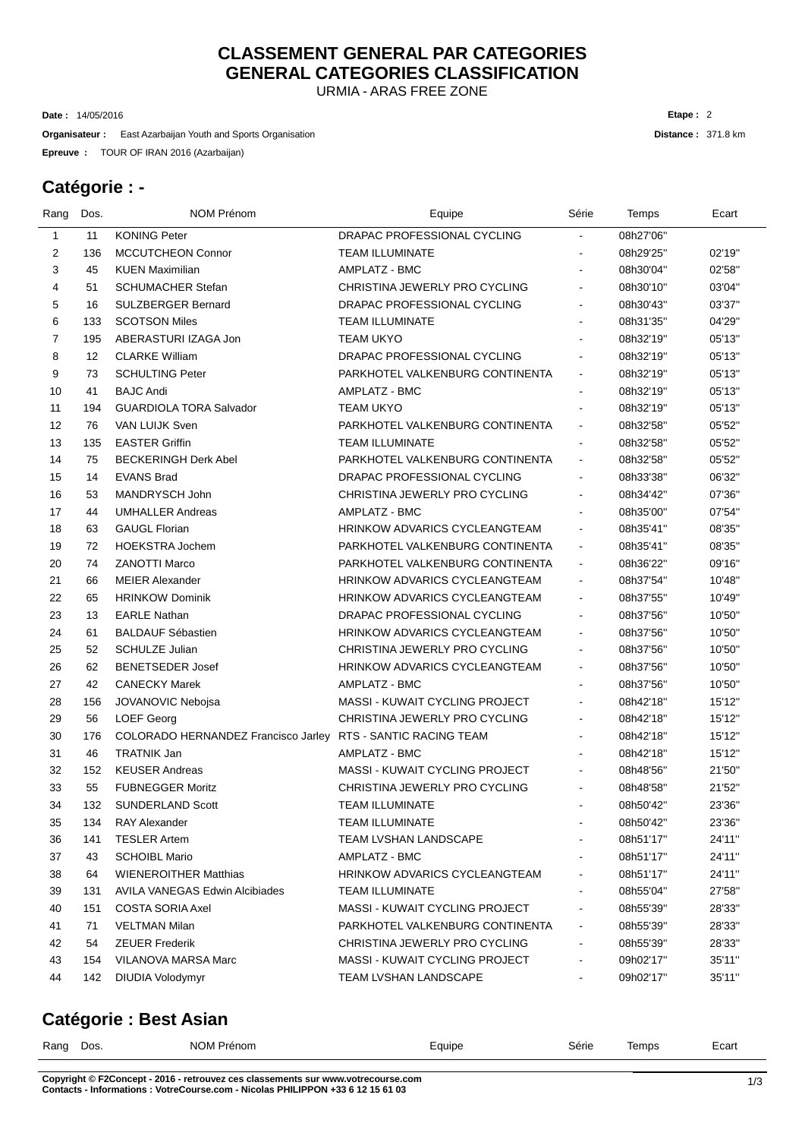#### URMIA - ARAS FREE ZONE **CLASSEMENT GENERAL PAR CATEGORIES GENERAL CATEGORIES CLASSIFICATION**

14/05/2016 **Date :**

**Organisateur** : East Azarbaijan Youth and Sports Organisation

TOUR OF IRAN 2016 (Azarbaijan) **Epreuve :**

### **Catégorie : -**

| Rang | Dos. | <b>NOM Prénom</b>                     | Equipe                                | Série          | Temps     | Ecart   |
|------|------|---------------------------------------|---------------------------------------|----------------|-----------|---------|
| 1    | 11   | <b>KONING Peter</b>                   | DRAPAC PROFESSIONAL CYCLING           | $\blacksquare$ | 08h27'06" |         |
| 2    | 136  | <b>MCCUTCHEON Connor</b>              | <b>TEAM ILLUMINATE</b>                |                | 08h29'25" | 02'19"  |
| 3    | 45   | <b>KUEN Maximilian</b>                | AMPLATZ - BMC                         |                | 08h30'04" | 02'58"  |
| 4    | 51   | <b>SCHUMACHER Stefan</b>              | CHRISTINA JEWERLY PRO CYCLING         | ٠              | 08h30'10" | 03'04"  |
| 5    | 16   | <b>SULZBERGER Bernard</b>             | DRAPAC PROFESSIONAL CYCLING           | $\blacksquare$ | 08h30'43" | 03'37"  |
| 6    | 133  | <b>SCOTSON Miles</b>                  | <b>TEAM ILLUMINATE</b>                | $\blacksquare$ | 08h31'35" | 04'29"  |
| 7    | 195  | ABERASTURI IZAGA Jon                  | <b>TEAM UKYO</b>                      |                | 08h32'19" | 05'13"  |
| 8    | 12   | <b>CLARKE William</b>                 | DRAPAC PROFESSIONAL CYCLING           | $\blacksquare$ | 08h32'19" | 05'13"  |
| 9    | 73   | <b>SCHULTING Peter</b>                | PARKHOTEL VALKENBURG CONTINENTA       | $\blacksquare$ | 08h32'19" | 05'13"  |
| 10   | 41   | <b>BAJC Andi</b>                      | AMPLATZ - BMC                         |                | 08h32'19" | 05'13"  |
| 11   | 194  | <b>GUARDIOLA TORA Salvador</b>        | <b>TEAM UKYO</b>                      | $\blacksquare$ | 08h32'19" | 05'13"  |
| 12   | 76   | <b>VAN LUIJK Sven</b>                 | PARKHOTEL VALKENBURG CONTINENTA       | $\blacksquare$ | 08h32'58" | 05'52"  |
| 13   | 135  | <b>EASTER Griffin</b>                 | <b>TEAM ILLUMINATE</b>                | $\blacksquare$ | 08h32'58" | 05'52"  |
| 14   | 75   | <b>BECKERINGH Derk Abel</b>           | PARKHOTEL VALKENBURG CONTINENTA       | $\blacksquare$ | 08h32'58" | 05'52"  |
| 15   | 14   | <b>EVANS Brad</b>                     | DRAPAC PROFESSIONAL CYCLING           | $\blacksquare$ | 08h33'38" | 06'32"  |
| 16   | 53   | MANDRYSCH John                        | CHRISTINA JEWERLY PRO CYCLING         |                | 08h34'42" | 07'36"  |
| 17   | 44   | <b>UMHALLER Andreas</b>               | AMPLATZ - BMC                         |                | 08h35'00" | 07'54"  |
| 18   | 63   | <b>GAUGL Florian</b>                  | <b>HRINKOW ADVARICS CYCLEANGTEAM</b>  | $\blacksquare$ | 08h35'41" | 08'35"  |
| 19   | 72   | <b>HOEKSTRA Jochem</b>                | PARKHOTEL VALKENBURG CONTINENTA       | $\blacksquare$ | 08h35'41" | 08'35"  |
| 20   | 74   | <b>ZANOTTI Marco</b>                  | PARKHOTEL VALKENBURG CONTINENTA       | ۰.             | 08h36'22" | 09'16"  |
| 21   | 66   | <b>MEIER Alexander</b>                | <b>HRINKOW ADVARICS CYCLEANGTEAM</b>  | $\blacksquare$ | 08h37'54" | 10'48"  |
| 22   | 65   | <b>HRINKOW Dominik</b>                | <b>HRINKOW ADVARICS CYCLEANGTEAM</b>  | $\blacksquare$ | 08h37'55" | 10'49"  |
| 23   | 13   | <b>EARLE Nathan</b>                   | DRAPAC PROFESSIONAL CYCLING           | $\blacksquare$ | 08h37'56" | 10'50"  |
| 24   | 61   | <b>BALDAUF Sébastien</b>              | HRINKOW ADVARICS CYCLEANGTEAM         | ۰              | 08h37'56" | 10'50"  |
| 25   | 52   | <b>SCHULZE Julian</b>                 | CHRISTINA JEWERLY PRO CYCLING         | $\blacksquare$ | 08h37'56" | 10'50"  |
| 26   | 62   | <b>BENETSEDER Josef</b>               | HRINKOW ADVARICS CYCLEANGTEAM         | ۰              | 08h37'56" | 10'50"  |
| 27   | 42   | <b>CANECKY Marek</b>                  | AMPLATZ - BMC                         | ۰              | 08h37'56" | 10'50"  |
| 28   | 156  | JOVANOVIC Nebojsa                     | MASSI - KUWAIT CYCLING PROJECT        | $\blacksquare$ | 08h42'18" | 15'12"  |
| 29   | 56   | <b>LOEF Georg</b>                     | CHRISTINA JEWERLY PRO CYCLING         | $\blacksquare$ | 08h42'18" | 15'12"  |
| 30   | 176  | COLORADO HERNANDEZ Francisco Jarley   | RTS - SANTIC RACING TEAM              |                | 08h42'18" | 15'12"  |
| 31   | 46   | <b>TRATNIK Jan</b>                    | <b>AMPLATZ - BMC</b>                  |                | 08h42'18" | 15'12"  |
| 32   | 152  | <b>KEUSER Andreas</b>                 | <b>MASSI - KUWAIT CYCLING PROJECT</b> | $\blacksquare$ | 08h48'56" | 21'50"  |
| 33   | 55   | <b>FUBNEGGER Moritz</b>               | CHRISTINA JEWERLY PRO CYCLING         |                | 08h48'58" | 21'52"  |
| 34   | 132  | <b>SUNDERLAND Scott</b>               | <b>TEAM ILLUMINATE</b>                |                | 08h50'42" | 23'36"  |
| 35   | 134  | <b>RAY Alexander</b>                  | TEAM ILLUMINATE                       | ٠              | 08h50'42" | 23'36"  |
| 36   | 141  | <b>TESLER Artem</b>                   | <b>TEAM LVSHAN LANDSCAPE</b>          |                | 08h51'17" | 24'11"  |
| 37   | 43   | <b>SCHOIBL Mario</b>                  | AMPLATZ - BMC                         |                | 08h51'17" | 24'11"  |
| 38   | 64   | <b>WIENEROITHER Matthias</b>          | <b>HRINKOW ADVARICS CYCLEANGTEAM</b>  |                | 08h51'17" | 24'11"  |
| 39   | 131  | <b>AVILA VANEGAS Edwin Alcibiades</b> | <b>TEAM ILLUMINATE</b>                |                | 08h55'04" | 27'58"  |
| 40   | 151  | <b>COSTA SORIA Axel</b>               | <b>MASSI - KUWAIT CYCLING PROJECT</b> |                | 08h55'39" | 28'33"  |
| 41   | 71   | VELTMAN Milan                         | PARKHOTEL VALKENBURG CONTINENTA       | ۰              | 08h55'39" | 28'33"  |
| 42   | 54   | <b>ZEUER Frederik</b>                 | CHRISTINA JEWERLY PRO CYCLING         | ۰              | 08h55'39" | 28'33"  |
| 43   | 154  | <b>VILANOVA MARSA Marc</b>            | MASSI - KUWAIT CYCLING PROJECT        | ۰              | 09h02'17" | 35'11'' |
| 44   | 142  | <b>DIUDIA Volodymyr</b>               | TEAM LVSHAN LANDSCAPE                 | ۰              | 09h02'17" | 35'11"  |
|      |      |                                       |                                       |                |           |         |

### **Catégorie : Best Asian**

| -<br>en<br>na | È<br>,,,,<br>$- - - -$ | N0 | 1111C | ene<br>$  -$ | $\overline{\phantom{0}}$<br>---<br>$-0$ |
|---------------|------------------------|----|-------|--------------|-----------------------------------------|
|               |                        |    |       |              |                                         |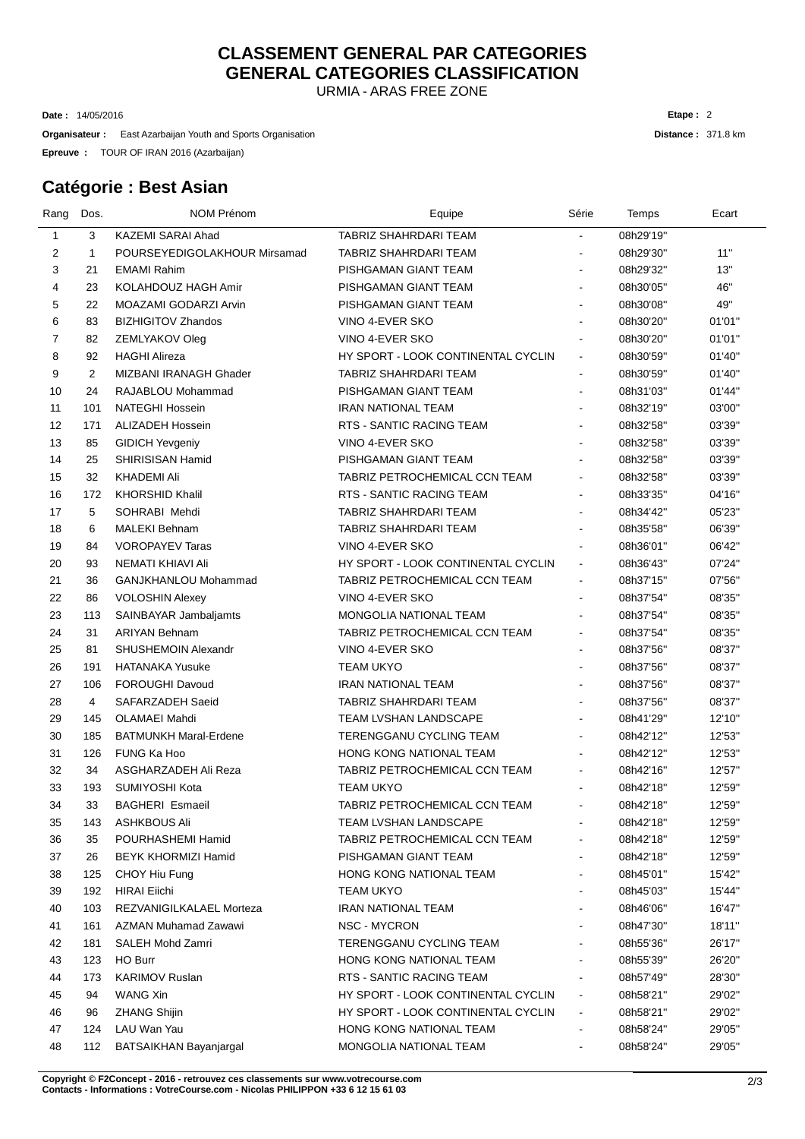# **CLASSEMENT GENERAL PAR CATEGORIES GENERAL CATEGORIES CLASSIFICATION**

URMIA - ARAS FREE ZONE

14/05/2016 **Date :**

**Organisateur** : East Azarbaijan Youth and Sports Organisation

TOUR OF IRAN 2016 (Azarbaijan) **Epreuve :**

### **Catégorie : Best Asian**

| Rang           | Dos.           | <b>NOM Prénom</b>            | Equipe                             | Série          | Temps     | Ecart  |
|----------------|----------------|------------------------------|------------------------------------|----------------|-----------|--------|
| $\mathbf{1}$   | 3              | KAZEMI SARAI Ahad            | TABRIZ SHAHRDARI TEAM              | ÷.             | 08h29'19" |        |
| 2              | $\mathbf{1}$   | POURSEYEDIGOLAKHOUR Mirsamad | TABRIZ SHAHRDARI TEAM              | $\blacksquare$ | 08h29'30" | 11"    |
| 3              | 21             | <b>EMAMI Rahim</b>           | PISHGAMAN GIANT TEAM               | $\sim$         | 08h29'32" | 13"    |
| 4              | 23             | KOLAHDOUZ HAGH Amir          | PISHGAMAN GIANT TEAM               | $\blacksquare$ | 08h30'05" | 46"    |
| 5              | 22             | MOAZAMI GODARZI Arvin        | PISHGAMAN GIANT TEAM               | $\blacksquare$ | 08h30'08" | 49"    |
| 6              | 83             | <b>BIZHIGITOV Zhandos</b>    | VINO 4-EVER SKO                    | $\blacksquare$ | 08h30'20" | 01'01" |
| $\overline{7}$ | 82             | <b>ZEMLYAKOV Oleg</b>        | VINO 4-EVER SKO                    | $\blacksquare$ | 08h30'20" | 01'01" |
| 8              | 92             | <b>HAGHI Alireza</b>         | HY SPORT - LOOK CONTINENTAL CYCLIN | $\blacksquare$ | 08h30'59" | 01'40" |
| 9              | $\overline{2}$ | MIZBANI IRANAGH Ghader       | <b>TABRIZ SHAHRDARI TEAM</b>       | $\blacksquare$ | 08h30'59" | 01'40" |
| 10             | 24             | RAJABLOU Mohammad            | PISHGAMAN GIANT TEAM               | $\blacksquare$ | 08h31'03" | 01'44" |
| 11             | 101            | <b>NATEGHI Hossein</b>       | <b>IRAN NATIONAL TEAM</b>          | $\blacksquare$ | 08h32'19" | 03'00" |
| 12             | 171            | <b>ALIZADEH Hossein</b>      | RTS - SANTIC RACING TEAM           | $\blacksquare$ | 08h32'58" | 03'39" |
| 13             | 85             | <b>GIDICH Yevgeniy</b>       | VINO 4-EVER SKO                    | $\sim$         | 08h32'58" | 03'39" |
| 14             | 25             | SHIRISISAN Hamid             | PISHGAMAN GIANT TEAM               |                | 08h32'58" | 03'39" |
| 15             | 32             | KHADEMI Ali                  | TABRIZ PETROCHEMICAL CCN TEAM      | $\blacksquare$ | 08h32'58" | 03'39" |
| 16             | 172            | <b>KHORSHID Khalil</b>       | RTS - SANTIC RACING TEAM           | ۰              | 08h33'35" | 04'16" |
| 17             | 5              | SOHRABI Mehdi                | TABRIZ SHAHRDARI TEAM              | $\blacksquare$ | 08h34'42" | 05'23" |
| 18             | 6              | <b>MALEKI Behnam</b>         | TABRIZ SHAHRDARI TEAM              | $\blacksquare$ | 08h35'58" | 06'39" |
| 19             | 84             | <b>VOROPAYEV Taras</b>       | VINO 4-EVER SKO                    | $\blacksquare$ | 08h36'01" | 06'42" |
| 20             | 93             | NEMATI KHIAVI Ali            | HY SPORT - LOOK CONTINENTAL CYCLIN | $\blacksquare$ | 08h36'43" | 07'24" |
| 21             | 36             | GANJKHANLOU Mohammad         | TABRIZ PETROCHEMICAL CCN TEAM      | $\blacksquare$ | 08h37'15" | 07'56" |
| 22             | 86             | <b>VOLOSHIN Alexey</b>       | VINO 4-EVER SKO                    | $\blacksquare$ | 08h37'54" | 08'35" |
| 23             | 113            | SAINBAYAR Jambaljamts        | MONGOLIA NATIONAL TEAM             | $\blacksquare$ | 08h37'54" | 08'35" |
| 24             | 31             | <b>ARIYAN Behnam</b>         | TABRIZ PETROCHEMICAL CCN TEAM      | $\blacksquare$ | 08h37'54" | 08'35" |
| 25             | 81             | SHUSHEMOIN Alexandr          | VINO 4-EVER SKO                    | $\blacksquare$ | 08h37'56" | 08'37" |
| 26             | 191            | <b>HATANAKA Yusuke</b>       | <b>TEAM UKYO</b>                   | $\blacksquare$ | 08h37'56" | 08'37" |
| 27             | 106            | <b>FOROUGHI Davoud</b>       | <b>IRAN NATIONAL TEAM</b>          | $\blacksquare$ | 08h37'56" | 08'37" |
| 28             | $\overline{4}$ | SAFARZADEH Saeid             | TABRIZ SHAHRDARI TEAM              | $\blacksquare$ | 08h37'56" | 08'37" |
| 29             | 145            | <b>OLAMAEI Mahdi</b>         | <b>TEAM LVSHAN LANDSCAPE</b>       | $\sim$         | 08h41'29" | 12'10" |
| 30             | 185            | <b>BATMUNKH Maral-Erdene</b> | <b>TERENGGANU CYCLING TEAM</b>     | $\blacksquare$ | 08h42'12" | 12'53" |
| 31             | 126            | FUNG Ka Hoo                  | HONG KONG NATIONAL TEAM            | ۰              | 08h42'12" | 12'53" |
| 32             | 34             | ASGHARZADEH Ali Reza         | TABRIZ PETROCHEMICAL CCN TEAM      | $\blacksquare$ | 08h42'16" | 12'57" |
| 33             | 193            | SUMIYOSHI Kota               | <b>TEAM UKYO</b>                   | $\blacksquare$ | 08h42'18" | 12'59" |
| 34             | 33             | <b>BAGHERI Esmaeil</b>       | TABRIZ PETROCHEMICAL CCN TEAM      | $\blacksquare$ | 08h42'18" | 12'59" |
| 35             | 143            | <b>ASHKBOUS Ali</b>          | <b>TEAM LVSHAN LANDSCAPE</b>       | $\blacksquare$ | 08h42'18" | 12'59" |
| 36             | 35             | POURHASHEMI Hamid            | TABRIZ PETROCHEMICAL CCN TEAM      |                | 08h42'18" | 12'59" |
| 37             | 26             | BEYK KHORMIZI Hamid          | PISHGAMAN GIANT TEAM               |                | 08h42'18" | 12'59" |
| 38             | 125            | CHOY Hiu Fung                | HONG KONG NATIONAL TEAM            |                | 08h45'01" | 15'42" |
| 39             | 192            | <b>HIRAI Eiichi</b>          | <b>TEAM UKYO</b>                   |                | 08h45'03" | 15'44" |
| 40             | 103            | REZVANIGILKALAEL Morteza     | <b>IRAN NATIONAL TEAM</b>          | ٠              | 08h46'06" | 16'47" |
| 41             | 161            | <b>AZMAN Muhamad Zawawi</b>  | <b>NSC - MYCRON</b>                | ۰              | 08h47'30" | 18'11" |
| 42             | 181            | SALEH Mohd Zamri             | TERENGGANU CYCLING TEAM            | ۰              | 08h55'36" | 26'17" |
| 43             | 123            | <b>HO Burr</b>               | HONG KONG NATIONAL TEAM            | $\blacksquare$ | 08h55'39" | 26'20" |
| 44             | 173            | <b>KARIMOV Ruslan</b>        | RTS - SANTIC RACING TEAM           | $\blacksquare$ | 08h57'49" | 28'30" |
| 45             | 94             | <b>WANG Xin</b>              | HY SPORT - LOOK CONTINENTAL CYCLIN | $\blacksquare$ | 08h58'21" | 29'02" |
| 46             | 96             | ZHANG Shijin                 | HY SPORT - LOOK CONTINENTAL CYCLIN | $\blacksquare$ | 08h58'21" | 29'02" |
| 47             | 124            | LAU Wan Yau                  | HONG KONG NATIONAL TEAM            | $\blacksquare$ | 08h58'24" | 29'05" |
| 48             | 112            | BATSAIKHAN Bayanjargal       | MONGOLIA NATIONAL TEAM             | ۰              | 08h58'24" | 29'05" |

**Distance :** 371.8 km **Etape :** 2